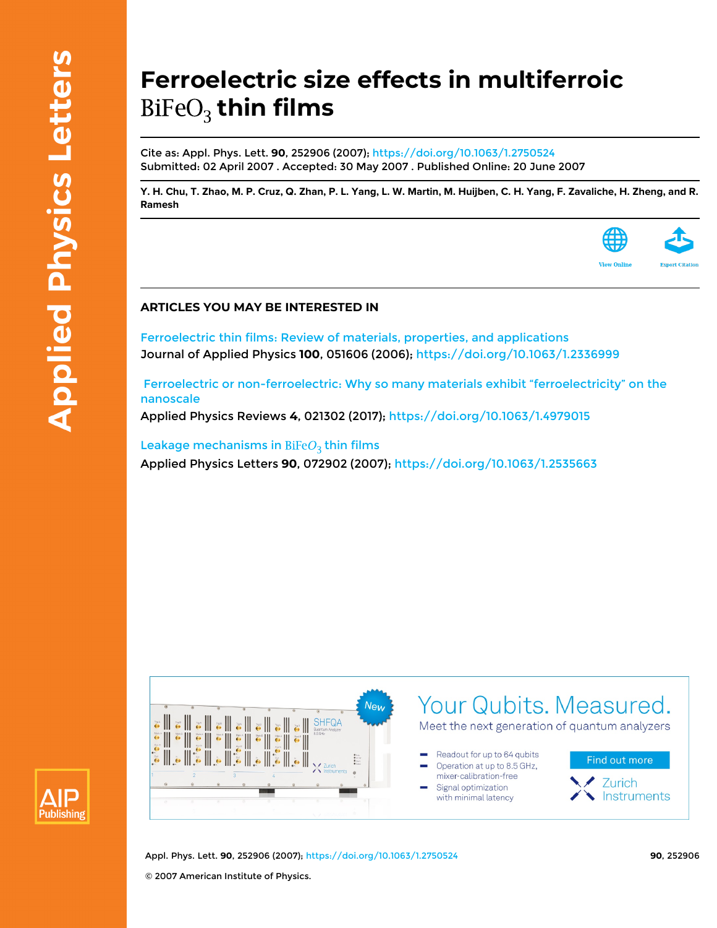## **Ferroelectric size effects in multiferroic** BiFeO<sub>3</sub> thin films

Cite as: Appl. Phys. Lett. **90**, 252906 (2007);<https://doi.org/10.1063/1.2750524> Submitted: 02 April 2007 . Accepted: 30 May 2007 . Published Online: 20 June 2007

[Y. H. Chu](https://aip.scitation.org/author/Chu%2C+Y+H), [T. Zhao](https://aip.scitation.org/author/Zhao%2C+T), [M. P. Cruz](https://aip.scitation.org/author/Cruz%2C+M+P), [Q. Zhan](https://aip.scitation.org/author/Zhan%2C+Q), [P. L. Yang,](https://aip.scitation.org/author/Yang%2C+P+L) [L. W. Martin,](https://aip.scitation.org/author/Martin%2C+L+W) [M. Huijben](https://aip.scitation.org/author/Huijben%2C+M), [C. H. Yang](https://aip.scitation.org/author/Yang%2C+C+H), [F. Zavaliche](https://aip.scitation.org/author/Zavaliche%2C+F), [H. Zheng](https://aip.scitation.org/author/Zheng%2C+H), and [R.](https://aip.scitation.org/author/Ramesh%2C+R) **[Ramesh](https://aip.scitation.org/author/Ramesh%2C+R)**



## **ARTICLES YOU MAY BE INTERESTED IN**

[Ferroelectric thin films: Review of materials, properties, and applications](https://aip.scitation.org/doi/10.1063/1.2336999) Journal of Applied Physics **100**, 051606 (2006); <https://doi.org/10.1063/1.2336999>

 [Ferroelectric or non-ferroelectric: Why so many materials exhibit "ferroelectricity" on the](https://aip.scitation.org/doi/10.1063/1.4979015) [nanoscale](https://aip.scitation.org/doi/10.1063/1.4979015)

Applied Physics Reviews **4**, 021302 (2017);<https://doi.org/10.1063/1.4979015>

Leakage mechanisms in  $B_1FeO_3$  thin films Applied Physics Letters **90**, 072902 (2007);<https://doi.org/10.1063/1.2535663>





Appl. Phys. Lett. **90**, 252906 (2007);<https://doi.org/10.1063/1.2750524> **90**, 252906 © 2007 American Institute of Physics.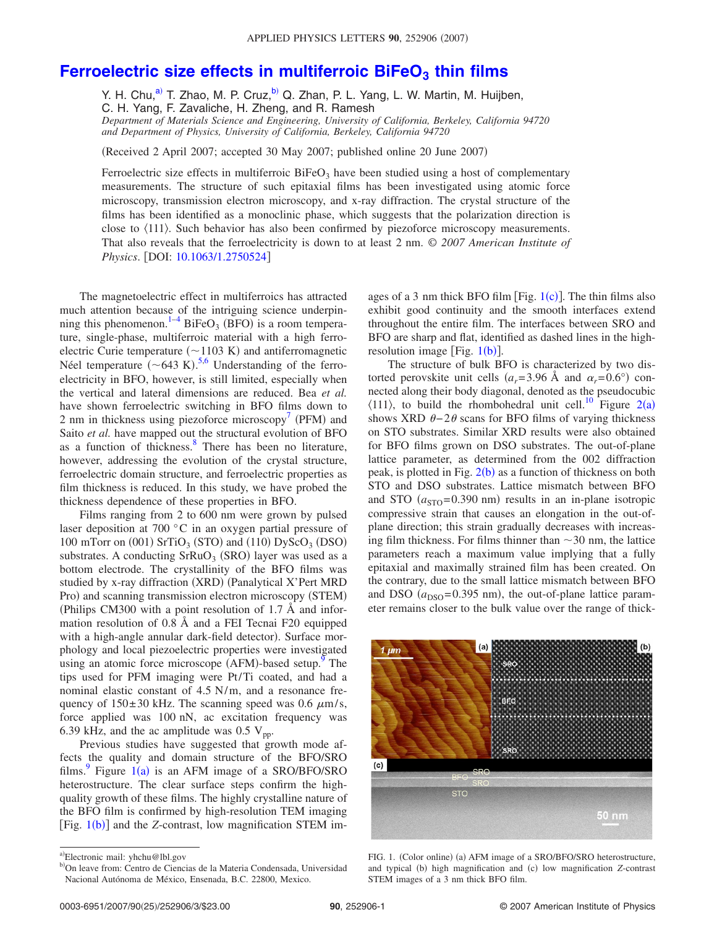## **Ferroelectric size effects in multiferroic BiFeO<sub>3</sub> thin films**

Y. H. Chu, $^{a)}$  T. Zhao, M. P. Cruz, $^{b)}$  Q. Zhan, P. L. Yang, L. W. Martin, M. Huijben,

C. H. Yang, F. Zavaliche, H. Zheng, and R. Ramesh

*Department of Materials Science and Engineering, University of California, Berkeley, California 94720 and Department of Physics, University of California, Berkeley, California 94720*

Received 2 April 2007; accepted 30 May 2007; published online 20 June 2007-

Ferroelectric size effects in multiferroic  $BiFeO<sub>3</sub>$  have been studied using a host of complementary measurements. The structure of such epitaxial films has been investigated using atomic force microscopy, transmission electron microscopy, and x-ray diffraction. The crystal structure of the films has been identified as a monoclinic phase, which suggests that the polarization direction is close to  $\langle 111 \rangle$ . Such behavior has also been confirmed by piezoforce microscopy measurements. That also reveals that the ferroelectricity is down to at least 2 nm. © *2007 American Institute of Physics.* [DOI: [10.1063/1.2750524](http://dx.doi.org/10.1063/1.2750524)]

The magnetoelectric effect in multiferroics has attracted much attention because of the intriguing science underpin-ning this phenomenon.<sup>1-[4](#page-3-1)</sup> BiFeO<sub>3</sub> (BFO) is a room temperature, single-phase, multiferroic material with a high ferroelectric Curie temperature  $(\sim 1103 \text{ K})$  and antiferromagnetic Néel temperature  $(\sim 643 \text{ K})$  $(\sim 643 \text{ K})$  $(\sim 643 \text{ K})$ .<sup>[5,](#page-3-2)6</sup> Understanding of the ferroelectricity in BFO, however, is still limited, especially when the vertical and lateral dimensions are reduced. Bea *et al.* have shown ferroelectric switching in BFO films down to 2 nm in thickness using piezoforce microscopy<sup>7</sup> (PFM) and Saito *et al.* have mapped out the structural evolution of BFO as a function of thickness. $8 \text{ There has been no literature},$ however, addressing the evolution of the crystal structure, ferroelectric domain structure, and ferroelectric properties as film thickness is reduced. In this study, we have probed the thickness dependence of these properties in BFO.

Films ranging from 2 to 600 nm were grown by pulsed laser deposition at 700 °C in an oxygen partial pressure of 100 mTorr on  $(001)$  SrTiO<sub>3</sub> (STO) and  $(110)$  DyScO<sub>3</sub> (DSO) substrates. A conducting  $SrRuO<sub>3</sub>$  (SRO) layer was used as a bottom electrode. The crystallinity of the BFO films was studied by x-ray diffraction (XRD) (Panalytical X'Pert MRD Pro) and scanning transmission electron microscopy (STEM) Philips CM300 with a point resolution of 1.7 Å and information resolution of 0.8 Å and a FEI Tecnai F20 equipped with a high-angle annular dark-field detector). Surface morphology and local piezoelectric properties were investigated using an atomic force microscope  $(AFM)$ -based setup.<sup>9</sup> The tips used for PFM imaging were Pt/Ti coated, and had a nominal elastic constant of 4.5 N/m, and a resonance frequency of  $150 \pm 30$  kHz. The scanning speed was 0.6  $\mu$ m/s, force applied was 100 nN, ac excitation frequency was 6.39 kHz, and the ac amplitude was 0.5  $V_{\text{pp}}$ .

Previous studies have suggested that growth mode affects the quality and domain structure of the BFO/SRO films.<sup>9</sup> Figure  $1(a)$  $1(a)$  is an AFM image of a SRO/BFO/SRO heterostructure. The clear surface steps confirm the highquality growth of these films. The highly crystalline nature of the BFO film is confirmed by high-resolution TEM imaging [Fig. [1](#page-1-2)(b)] and the *Z*-contrast, low magnification STEM im-

ages of a 3 nm thick BFO film [Fig.  $1(c)$  $1(c)$ ]. The thin films also exhibit good continuity and the smooth interfaces extend throughout the entire film. The interfaces between SRO and BFO are sharp and flat, identified as dashed lines in the highresolution image [Fig.  $1(b)$  $1(b)$ ].

The structure of bulk BFO is characterized by two distorted perovskite unit cells  $(a_r = 3.96 \text{ Å} \text{ and } a_r = 0.6^{\circ}) \text{ con-}$ nected along their body diagonal, denoted as the pseudocubic  $\langle 111 \rangle$ , to build the rhombohedral unit cell.<sup>10</sup> Figure [2](#page-2-0)(a) shows XRD  $\theta - 2\theta$  scans for BFO films of varying thickness on STO substrates. Similar XRD results were also obtained for BFO films grown on DSO substrates. The out-of-plane lattice parameter, as determined from the 002 diffraction peak, is plotted in Fig. [2](#page-2-0)(b) as a function of thickness on both STO and DSO substrates. Lattice mismatch between BFO and STO  $(a_{\text{STO}}= 0.390 \text{ nm})$  results in an in-plane isotropic compressive strain that causes an elongation in the out-ofplane direction; this strain gradually decreases with increasing film thickness. For films thinner than  $\sim$ 30 nm, the lattice parameters reach a maximum value implying that a fully epitaxial and maximally strained film has been created. On the contrary, due to the small lattice mismatch between BFO and DSO  $(a_{DSO} = 0.395 \text{ nm})$ , the out-of-plane lattice parameter remains closer to the bulk value over the range of thick-

<span id="page-1-2"></span>

FIG. 1. (Color online) (a) AFM image of a SRO/BFO/SRO heterostructure, and typical (b) high magnification and (c) low magnification *Z*-contrast STEM images of a 3 nm thick BFO film.

<span id="page-1-1"></span><span id="page-1-0"></span>a)Electronic mail: yhchu@lbl.gov

<sup>&</sup>lt;sup>b)</sup>On leave from: Centro de Ciencias de la Materia Condensada, Universidad Nacional Autónoma de México, Ensenada, B.C. 22800, Mexico.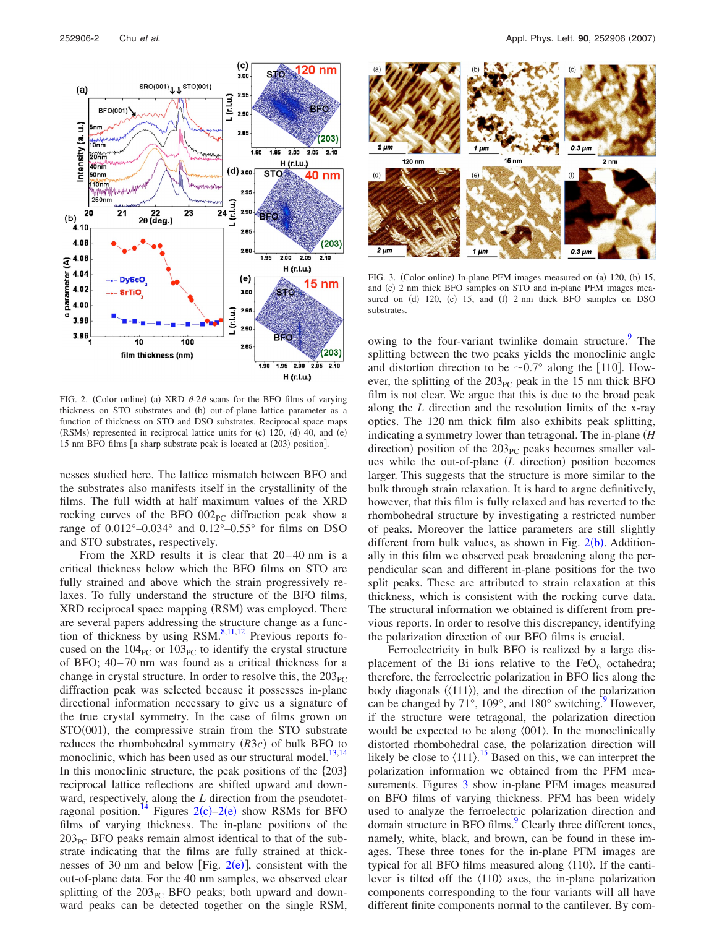<span id="page-2-0"></span>

FIG. 2. (Color online) (a) XRD  $\theta$ -2 $\theta$  scans for the BFO films of varying thickness on STO substrates and (b) out-of-plane lattice parameter as a function of thickness on STO and DSO substrates. Reciprocal space maps (RSMs) represented in reciprocal lattice units for (c) 120, (d) 40, and (e) 15 nm BFO films [a sharp substrate peak is located at (203) position].

nesses studied here. The lattice mismatch between BFO and the substrates also manifests itself in the crystallinity of the films. The full width at half maximum values of the XRD rocking curves of the BFO  $002<sub>PC</sub>$  diffraction peak show a range of  $0.012^{\circ}$ -0.034° and  $0.12^{\circ}$ -0.55° for films on DSO and STO substrates, respectively.

From the XRD results it is clear that 20–40 nm is a critical thickness below which the BFO films on STO are fully strained and above which the strain progressively relaxes. To fully understand the structure of the BFO films, XRD reciprocal space mapping (RSM) was employed. There are several papers addressing the structure change as a function of thickness by using  $RSM$ .<sup>8[,11](#page-3-8)[,12](#page-3-9)</sup> Previous reports focused on the  $104_{PC}$  or  $103_{PC}$  to identify the crystal structure of BFO; 40– 70 nm was found as a critical thickness for a change in crystal structure. In order to resolve this, the  $203_{\text{PC}}$ diffraction peak was selected because it possesses in-plane directional information necessary to give us a signature of the true crystal symmetry. In the case of films grown on STO(001), the compressive strain from the STO substrate reduces the rhombohedral symmetry (R3c) of bulk BFO to monoclinic, which has been used as our structural model.<sup>13,[14](#page-3-11)</sup> In this monoclinic structure, the peak positions of the  $\{203\}$ reciprocal lattice reflections are shifted upward and downward, respectively, along the *L* direction from the pseudotet-ragonal position.<sup>14</sup> Figures [2](#page-2-0)(c)-2(e) show RSMs for BFO films of varying thickness. The in-plane positions of the  $203<sub>PC</sub>$  BFO peaks remain almost identical to that of the substrate indicating that the films are fully strained at thicknesses of 30 nm and below [Fig.  $2(e)$  $2(e)$ ], consistent with the out-of-plane data. For the 40 nm samples, we observed clear splitting of the  $203<sub>PC</sub>$  BFO peaks; both upward and downward peaks can be detected together on the single RSM,

<span id="page-2-1"></span>

FIG. 3. (Color online) In-plane PFM images measured on (a) 120, (b) 15, and (c) 2 nm thick BFO samples on STO and in-plane PFM images measured on (d) 120, (e) 15, and (f) 2 nm thick BFO samples on DSO substrates.

owing to the four-variant twinlike domain structure.<sup>9</sup> The splitting between the two peaks yields the monoclinic angle and distortion direction to be  $\sim 0.7^{\circ}$  along the [110]. However, the splitting of the  $203<sub>PC</sub>$  peak in the 15 nm thick BFO film is not clear. We argue that this is due to the broad peak along the *L* direction and the resolution limits of the x-ray optics. The 120 nm thick film also exhibits peak splitting, indicating a symmetry lower than tetragonal. The in-plane *H* direction) position of the  $203<sub>PC</sub>$  peaks becomes smaller values while the out-of-plane (*L* direction) position becomes larger. This suggests that the structure is more similar to the bulk through strain relaxation. It is hard to argue definitively, however, that this film is fully relaxed and has reverted to the rhombohedral structure by investigating a restricted number of peaks. Moreover the lattice parameters are still slightly different from bulk values, as shown in Fig.  $2(b)$  $2(b)$ . Additionally in this film we observed peak broadening along the perpendicular scan and different in-plane positions for the two split peaks. These are attributed to strain relaxation at this thickness, which is consistent with the rocking curve data. The structural information we obtained is different from previous reports. In order to resolve this discrepancy, identifying the polarization direction of our BFO films is crucial.

Ferroelectricity in bulk BFO is realized by a large displacement of the Bi ions relative to the  $FeO<sub>6</sub>$  octahedra; therefore, the ferroelectric polarization in BFO lies along the body diagonals  $(\langle 111 \rangle)$ , and the direction of the polarization can be changed by  $71^{\circ}$ ,  $109^{\circ}$ , and  $180^{\circ}$  switching. However, if the structure were tetragonal, the polarization direction would be expected to be along  $\langle 001 \rangle$ . In the monoclinically distorted rhombohedral case, the polarization direction will likely be close to  $(111)$ .<sup>[15](#page-3-12)</sup> Based on this, we can interpret the polarization information we obtained from the PFM mea-surements. Figures [3](#page-2-1) show in-plane PFM images measured on BFO films of varying thickness. PFM has been widely used to analyze the ferroelectric polarization direction and domain structure in BFO films.<sup>9</sup> Clearly three different tones, namely, white, black, and brown, can be found in these images. These three tones for the in-plane PFM images are typical for all BFO films measured along  $\langle 110 \rangle$ . If the cantilever is tilted off the  $\langle 110 \rangle$  axes, the in-plane polarization components corresponding to the four variants will all have different finite components normal to the cantilever. By com-